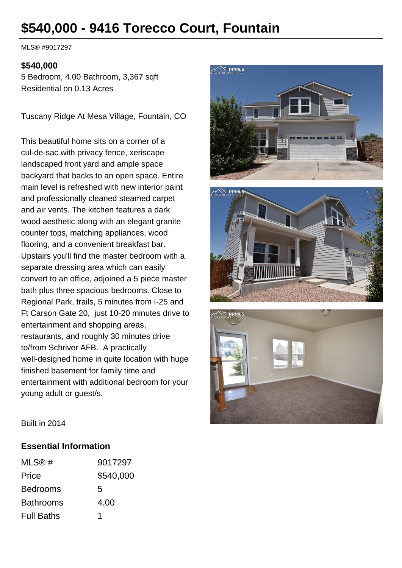# **\$540,000 - 9416 Torecco Court, Fountain**

MLS® #9017297

#### **\$540,000**

5 Bedroom, 4.00 Bathroom, 3,367 sqft Residential on 0.13 Acres

Tuscany Ridge At Mesa Village, Fountain, CO

This beautiful home sits on a corner of a cul-de-sac with privacy fence, xeriscape landscaped front yard and ample space backyard that backs to an open space. Entire main level is refreshed with new interior paint and professionally cleaned steamed carpet and air vents. The kitchen features a dark wood aesthetic along with an elegant granite counter tops, matching appliances, wood flooring, and a convenient breakfast bar. Upstairs you'll find the master bedroom with a separate dressing area which can easily convert to an office, adjoined a 5 piece master bath plus three spacious bedrooms. Close to Regional Park, trails, 5 minutes from I-25 and Ft Carson Gate 20, just 10-20 minutes drive to entertainment and shopping areas, restaurants, and roughly 30 minutes drive to/from Schriver AFB. A practically well-designed home in quite location with huge finished basement for family time and entertainment with additional bedroom for your young adult or guest/s.







Built in 2014

#### **Essential Information**

| MLS@#             | 9017297   |
|-------------------|-----------|
| Price             | \$540,000 |
| <b>Bedrooms</b>   | 5         |
| <b>Bathrooms</b>  | 4.00      |
| <b>Full Baths</b> |           |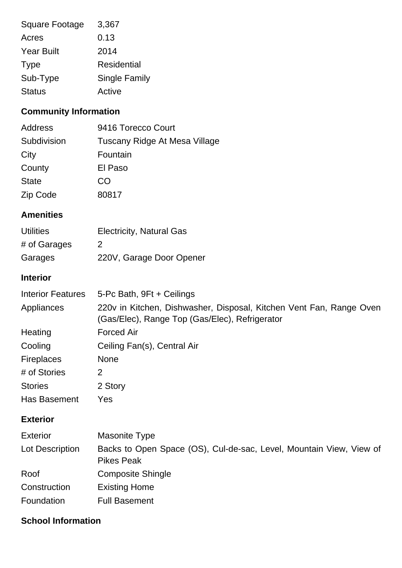| Square Footage    | 3,367                |
|-------------------|----------------------|
| Acres             | 0.13                 |
| <b>Year Built</b> | 2014                 |
| <b>Type</b>       | Residential          |
| Sub-Type          | <b>Single Family</b> |
| <b>Status</b>     | Active               |

## **Community Information**

| Address      | 9416 Torecco Court            |
|--------------|-------------------------------|
| Subdivision  | Tuscany Ridge At Mesa Village |
| City         | Fountain                      |
| County       | El Paso                       |
| <b>State</b> | CO                            |
| Zip Code     | 80817                         |

### **Amenities**

| <b>Utilities</b> | <b>Electricity, Natural Gas</b> |
|------------------|---------------------------------|
| # of Garages     | $\mathcal{P}$                   |
| Garages          | 220V, Garage Door Opener        |

### **Interior**

| <b>Interior Features</b> | 5-Pc Bath, 9Ft + Ceilings                                                                                             |
|--------------------------|-----------------------------------------------------------------------------------------------------------------------|
| Appliances               | 220v in Kitchen, Dishwasher, Disposal, Kitchen Vent Fan, Range Oven<br>(Gas/Elec), Range Top (Gas/Elec), Refrigerator |
| Heating                  | <b>Forced Air</b>                                                                                                     |
| Cooling                  | Ceiling Fan(s), Central Air                                                                                           |
| <b>Fireplaces</b>        | <b>None</b>                                                                                                           |
| # of Stories             | 2                                                                                                                     |
| <b>Stories</b>           | 2 Story                                                                                                               |
| Has Basement             | Yes                                                                                                                   |

### **Exterior**

| <b>Exterior</b> | Masonite Type                                                                            |
|-----------------|------------------------------------------------------------------------------------------|
| Lot Description | Backs to Open Space (OS), Cul-de-sac, Level, Mountain View, View of<br><b>Pikes Peak</b> |
| Roof            | <b>Composite Shingle</b>                                                                 |
| Construction    | <b>Existing Home</b>                                                                     |
| Foundation      | <b>Full Basement</b>                                                                     |

### **School Information**